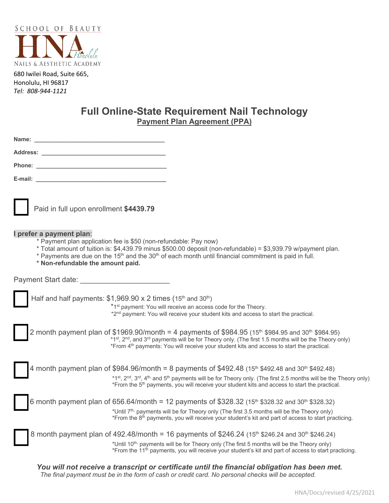

680 Iwilei Road, Suite 665, Honolulu, HI 96817 *Tel: 808-944-1121*

# **Full Online-State Requirement Nail Technology Payment Plan Agreement (PPA)**

| Paid in full upon enrollment \$4439.79                                                                                                                                                                                                                                                                                                                                              |
|-------------------------------------------------------------------------------------------------------------------------------------------------------------------------------------------------------------------------------------------------------------------------------------------------------------------------------------------------------------------------------------|
| I prefer a payment plan:<br>* Payment plan application fee is \$50 (non-refundable: Pay now)<br>* Total amount of tuition is: \$4,439.79 minus \$500.00 deposit (non-refundable) = \$3,939.79 w/payment plan.<br>* Payments are due on the 15 <sup>th</sup> and the 30 <sup>th</sup> of each month until financial commitment is paid in full.<br>* Non-refundable the amount paid. |
| Payment Start date: example a start of the start of the start of the start of the start of the start of the start of the start of the start of the start of the start of the start of the start of the start of the start of t                                                                                                                                                      |
| Half and half payments: $$1,969.90 \times 2$ times (15 <sup>th</sup> and 30 <sup>th</sup> )<br>*1 <sup>st</sup> payment: You will receive an access code for the Theory.<br>*2 <sup>nd</sup> payment: You will receive your student kits and access to start the practical.                                                                                                         |
| 2 month payment plan of \$1969.90/month = 4 payments of \$984.95 (15 <sup>th</sup> \$984.95 and 30 <sup>th</sup> \$984.95)<br>*1 <sup>st</sup> , 2 <sup>nd</sup> , and 3 <sup>rd</sup> payments will be for Theory only. (The first 1.5 months will be the Theory or                                                                                                                |

| *1st, 2 <sup>nd</sup> , and 3 <sup>rd</sup> payments will be for Theory only. (The first 1.5 months will be the Theory only)<br>*From 4 <sup>th</sup> payments: You will receive your student kits and access to start the practical.                              |
|--------------------------------------------------------------------------------------------------------------------------------------------------------------------------------------------------------------------------------------------------------------------|
| 4 month payment plan of \$984.96/month = 8 payments of \$492.48 (15 <sup>th</sup> \$492.48 and 30 <sup>th</sup> \$492.48)<br>*1st, 2nd, 3rd, 4 <sup>th,</sup> and 5 <sup>th</sup> payments will be for Theory only. (The first 2.5 months will be the Theory only) |
| *From the 5 <sup>th</sup> payments, you will receive your student kits and access to start the practical.<br>6 month payment plan of 656.64/month = 12 payments of \$328.32 (15 <sup>th</sup> \$328.32 and 30 <sup>th</sup> \$328.32)                              |
| *Until 7 <sup>th,</sup> payments will be for Theory only (The first 3.5 months will be the Theory only)<br>*From the 8 <sup>th</sup> payments, you will receive your student's kit and part of access to start practicing.                                         |
| 8 month payment plan of 492.48/month = 16 payments of \$246.24 (15 <sup>th</sup> \$246.24 and 30 <sup>th</sup> \$246.24)                                                                                                                                           |
| *Until 10 <sup>th,</sup> payments will be for Theory only (The first 5 months will be the Theory only)<br>*From the 11 <sup>th</sup> payments, you will receive your student's kit and part of access to start practicing.                                         |

*You will not receive a transcript or certificate until the financial obligation has been met. The final payment must be in the form of cash or credit card. No personal checks will be accepted.*

HNA/Docs/revised 4/25/2021